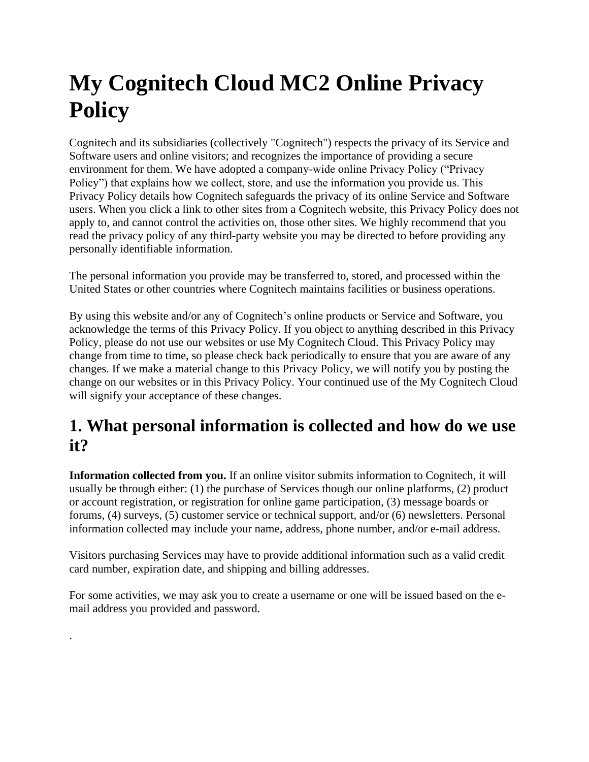# **My Cognitech Cloud MC2 Online Privacy Policy**

Cognitech and its subsidiaries (collectively "Cognitech") respects the privacy of its Service and Software users and online visitors; and recognizes the importance of providing a secure environment for them. We have adopted a company-wide online Privacy Policy ("Privacy Policy") that explains how we collect, store, and use the information you provide us. This Privacy Policy details how Cognitech safeguards the privacy of its online Service and Software users. When you click a link to other sites from a Cognitech website, this Privacy Policy does not apply to, and cannot control the activities on, those other sites. We highly recommend that you read the privacy policy of any third-party website you may be directed to before providing any personally identifiable information.

The personal information you provide may be transferred to, stored, and processed within the United States or other countries where Cognitech maintains facilities or business operations.

By using this website and/or any of Cognitech's online products or Service and Software, you acknowledge the terms of this Privacy Policy. If you object to anything described in this Privacy Policy, please do not use our websites or use My Cognitech Cloud. This Privacy Policy may change from time to time, so please check back periodically to ensure that you are aware of any changes. If we make a material change to this Privacy Policy, we will notify you by posting the change on our websites or in this Privacy Policy. Your continued use of the My Cognitech Cloud will signify your acceptance of these changes.

# **1. What personal information is collected and how do we use it?**

**Information collected from you.** If an online visitor submits information to Cognitech, it will usually be through either: (1) the purchase of Services though our online platforms, (2) product or account registration, or registration for online game participation, (3) message boards or forums, (4) surveys, (5) customer service or technical support, and/or (6) newsletters. Personal information collected may include your name, address, phone number, and/or e-mail address.

Visitors purchasing Services may have to provide additional information such as a valid credit card number, expiration date, and shipping and billing addresses.

For some activities, we may ask you to create a username or one will be issued based on the email address you provided and password.

.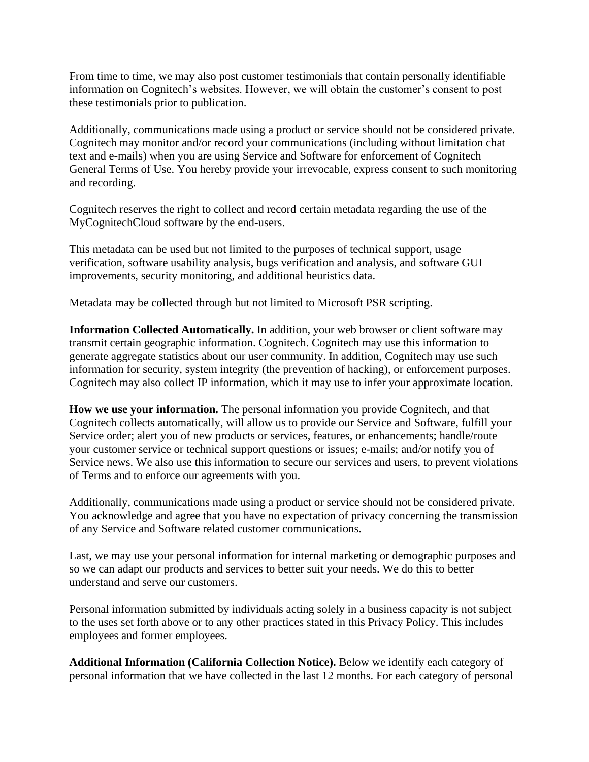From time to time, we may also post customer testimonials that contain personally identifiable information on Cognitech's websites. However, we will obtain the customer's consent to post these testimonials prior to publication.

Additionally, communications made using a product or service should not be considered private. Cognitech may monitor and/or record your communications (including without limitation chat text and e-mails) when you are using Service and Software for enforcement of Cognitech General Terms of Use. You hereby provide your irrevocable, express consent to such monitoring and recording.

Cognitech reserves the right to collect and record certain metadata regarding the use of the MyCognitechCloud software by the end-users.

This metadata can be used but not limited to the purposes of technical support, usage verification, software usability analysis, bugs verification and analysis, and software GUI improvements, security monitoring, and additional heuristics data.

Metadata may be collected through but not limited to Microsoft PSR scripting.

**Information Collected Automatically.** In addition, your web browser or client software may transmit certain geographic information. Cognitech. Cognitech may use this information to generate aggregate statistics about our user community. In addition, Cognitech may use such information for security, system integrity (the prevention of hacking), or enforcement purposes. Cognitech may also collect IP information, which it may use to infer your approximate location.

**How we use your information.** The personal information you provide Cognitech, and that Cognitech collects automatically, will allow us to provide our Service and Software, fulfill your Service order; alert you of new products or services, features, or enhancements; handle/route your customer service or technical support questions or issues; e-mails; and/or notify you of Service news. We also use this information to secure our services and users, to prevent violations of Terms and to enforce our agreements with you.

Additionally, communications made using a product or service should not be considered private. You acknowledge and agree that you have no expectation of privacy concerning the transmission of any Service and Software related customer communications.

Last, we may use your personal information for internal marketing or demographic purposes and so we can adapt our products and services to better suit your needs. We do this to better understand and serve our customers.

Personal information submitted by individuals acting solely in a business capacity is not subject to the uses set forth above or to any other practices stated in this Privacy Policy. This includes employees and former employees.

**Additional Information (California Collection Notice).** Below we identify each category of personal information that we have collected in the last 12 months. For each category of personal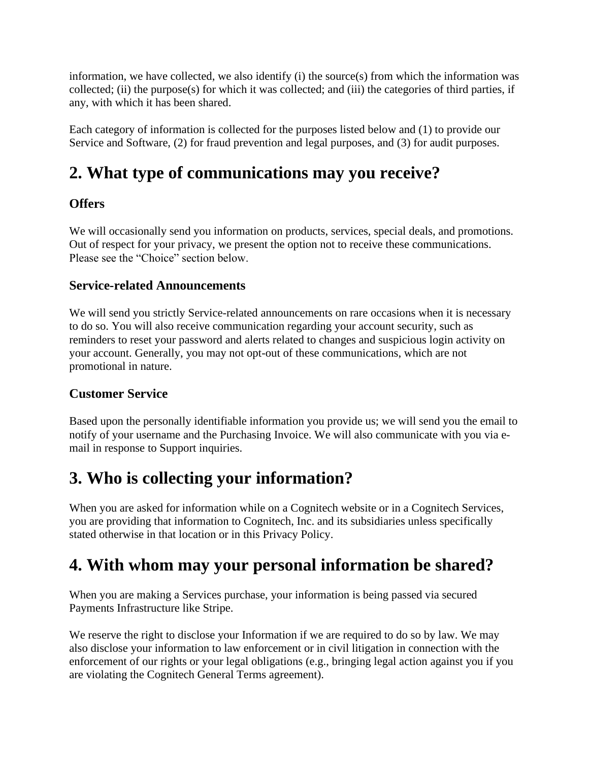information, we have collected, we also identify (i) the source(s) from which the information was collected; (ii) the purpose(s) for which it was collected; and (iii) the categories of third parties, if any, with which it has been shared.

Each category of information is collected for the purposes listed below and (1) to provide our Service and Software, (2) for fraud prevention and legal purposes, and (3) for audit purposes.

# **2. What type of communications may you receive?**

### **Offers**

We will occasionally send you information on products, services, special deals, and promotions. Out of respect for your privacy, we present the option not to receive these communications. Please see the "Choice" section below.

### **Service-related Announcements**

We will send you strictly Service-related announcements on rare occasions when it is necessary to do so. You will also receive communication regarding your account security, such as reminders to reset your password and alerts related to changes and suspicious login activity on your account. Generally, you may not opt-out of these communications, which are not promotional in nature.

### **Customer Service**

Based upon the personally identifiable information you provide us; we will send you the email to notify of your username and the Purchasing Invoice. We will also communicate with you via email in response to Support inquiries.

# **3. Who is collecting your information?**

When you are asked for information while on a Cognitech website or in a Cognitech Services, you are providing that information to Cognitech, Inc. and its subsidiaries unless specifically stated otherwise in that location or in this Privacy Policy.

# **4. With whom may your personal information be shared?**

When you are making a Services purchase, your information is being passed via secured Payments Infrastructure like Stripe.

We reserve the right to disclose your Information if we are required to do so by law. We may also disclose your information to law enforcement or in civil litigation in connection with the enforcement of our rights or your legal obligations (e.g., bringing legal action against you if you are violating the Cognitech General Terms agreement).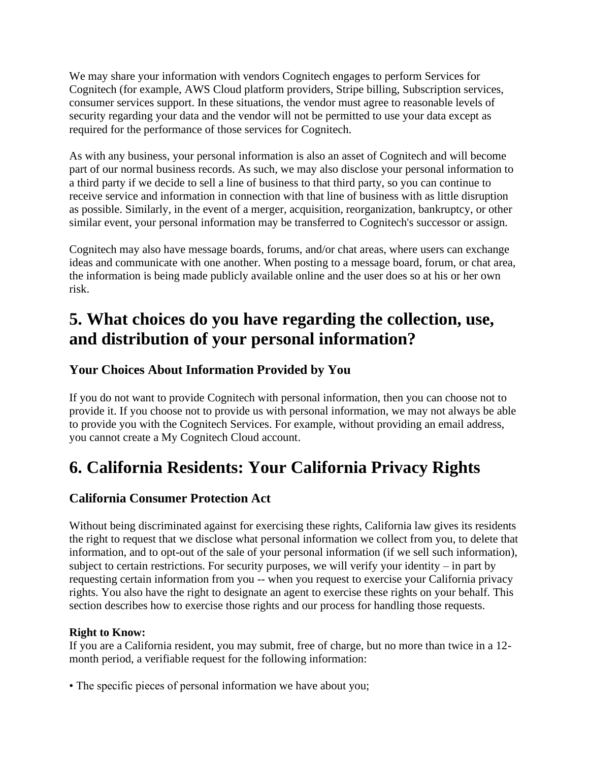We may share your information with vendors Cognitech engages to perform Services for Cognitech (for example, AWS Cloud platform providers, Stripe billing, Subscription services, consumer services support. In these situations, the vendor must agree to reasonable levels of security regarding your data and the vendor will not be permitted to use your data except as required for the performance of those services for Cognitech.

As with any business, your personal information is also an asset of Cognitech and will become part of our normal business records. As such, we may also disclose your personal information to a third party if we decide to sell a line of business to that third party, so you can continue to receive service and information in connection with that line of business with as little disruption as possible. Similarly, in the event of a merger, acquisition, reorganization, bankruptcy, or other similar event, your personal information may be transferred to Cognitech's successor or assign.

Cognitech may also have message boards, forums, and/or chat areas, where users can exchange ideas and communicate with one another. When posting to a message board, forum, or chat area, the information is being made publicly available online and the user does so at his or her own risk.

# **5. What choices do you have regarding the collection, use, and distribution of your personal information?**

### **Your Choices About Information Provided by You**

If you do not want to provide Cognitech with personal information, then you can choose not to provide it. If you choose not to provide us with personal information, we may not always be able to provide you with the Cognitech Services. For example, without providing an email address, you cannot create a My Cognitech Cloud account.

# **6. California Residents: Your California Privacy Rights**

### **California Consumer Protection Act**

Without being discriminated against for exercising these rights, California law gives its residents the right to request that we disclose what personal information we collect from you, to delete that information, and to opt-out of the sale of your personal information (if we sell such information), subject to certain restrictions. For security purposes, we will verify your identity – in part by requesting certain information from you -- when you request to exercise your California privacy rights. You also have the right to designate an agent to exercise these rights on your behalf. This section describes how to exercise those rights and our process for handling those requests.

#### **Right to Know:**

If you are a California resident, you may submit, free of charge, but no more than twice in a 12 month period, a verifiable request for the following information:

• The specific pieces of personal information we have about you;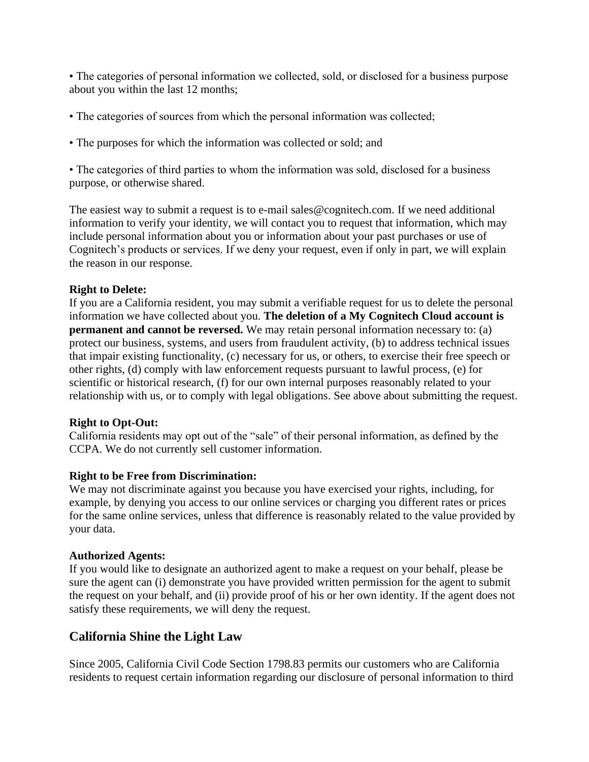• The categories of personal information we collected, sold, or disclosed for a business purpose about you within the last 12 months;

- The categories of sources from which the personal information was collected;
- The purposes for which the information was collected or sold; and

• The categories of third parties to whom the information was sold, disclosed for a business purpose, or otherwise shared.

The easiest way to submit a request is to e-mail sales@cognitech.com. If we need additional information to verify your identity, we will contact you to request that information, which may include personal information about you or information about your past purchases or use of Cognitech's products or services. If we deny your request, even if only in part, we will explain the reason in our response.

#### **Right to Delete:**

If you are a California resident, you may submit a verifiable request for us to delete the personal information we have collected about you. **The deletion of a My Cognitech Cloud account is permanent and cannot be reversed.** We may retain personal information necessary to: (a) protect our business, systems, and users from fraudulent activity, (b) to address technical issues that impair existing functionality, (c) necessary for us, or others, to exercise their free speech or other rights, (d) comply with law enforcement requests pursuant to lawful process, (e) for scientific or historical research, (f) for our own internal purposes reasonably related to your relationship with us, or to comply with legal obligations. See above about submitting the request.

#### **Right to Opt-Out:**

California residents may opt out of the "sale" of their personal information, as defined by the CCPA. We do not currently sell customer information.

#### **Right to be Free from Discrimination:**

We may not discriminate against you because you have exercised your rights, including, for example, by denying you access to our online services or charging you different rates or prices for the same online services, unless that difference is reasonably related to the value provided by your data.

#### **Authorized Agents:**

If you would like to designate an authorized agent to make a request on your behalf, please be sure the agent can (i) demonstrate you have provided written permission for the agent to submit the request on your behalf, and (ii) provide proof of his or her own identity. If the agent does not satisfy these requirements, we will deny the request.

### **California Shine the Light Law**

Since 2005, California Civil Code Section 1798.83 permits our customers who are California residents to request certain information regarding our disclosure of personal information to third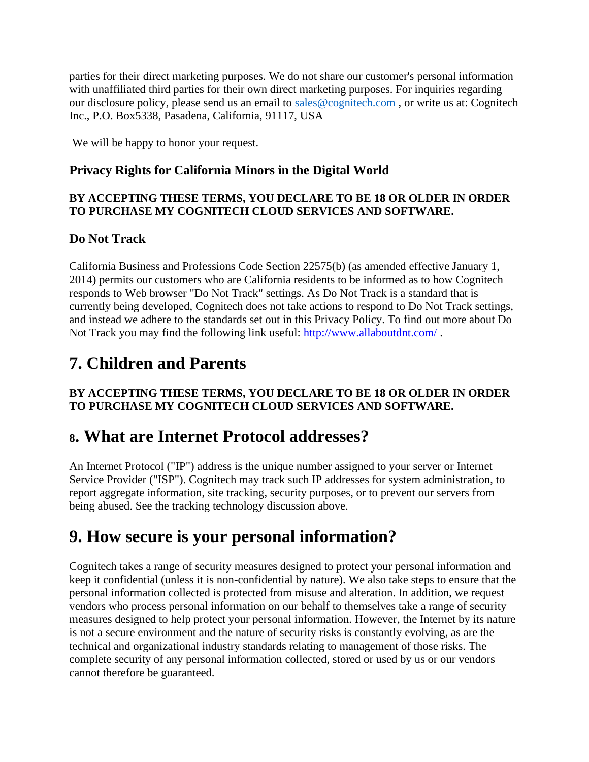parties for their direct marketing purposes. We do not share our customer's personal information with unaffiliated third parties for their own direct marketing purposes. For inquiries regarding our disclosure policy, please send us an email to [sales@cognitech.com](mailto:sales@cognitech.com) , or write us at: Cognitech Inc., P.O. Box5338, Pasadena, California, 91117, USA

We will be happy to honor your request.

### **Privacy Rights for California Minors in the Digital World**

### **BY ACCEPTING THESE TERMS, YOU DECLARE TO BE 18 OR OLDER IN ORDER TO PURCHASE MY COGNITECH CLOUD SERVICES AND SOFTWARE.**

### **Do Not Track**

California Business and Professions Code Section 22575(b) (as amended effective January 1, 2014) permits our customers who are California residents to be informed as to how Cognitech responds to Web browser "Do Not Track" settings. As Do Not Track is a standard that is currently being developed, Cognitech does not take actions to respond to Do Not Track settings, and instead we adhere to the standards set out in this Privacy Policy. To find out more about Do Not Track you may find the following link useful:<http://www.allaboutdnt.com/> .

# **7. Children and Parents**

### **BY ACCEPTING THESE TERMS, YOU DECLARE TO BE 18 OR OLDER IN ORDER TO PURCHASE MY COGNITECH CLOUD SERVICES AND SOFTWARE.**

## **<sup>8</sup>. What are Internet Protocol addresses?**

An Internet Protocol ("IP") address is the unique number assigned to your server or Internet Service Provider ("ISP"). Cognitech may track such IP addresses for system administration, to report aggregate information, site tracking, security purposes, or to prevent our servers from being abused. See the tracking technology discussion above.

# **9. How secure is your personal information?**

Cognitech takes a range of security measures designed to protect your personal information and keep it confidential (unless it is non-confidential by nature). We also take steps to ensure that the personal information collected is protected from misuse and alteration. In addition, we request vendors who process personal information on our behalf to themselves take a range of security measures designed to help protect your personal information. However, the Internet by its nature is not a secure environment and the nature of security risks is constantly evolving, as are the technical and organizational industry standards relating to management of those risks. The complete security of any personal information collected, stored or used by us or our vendors cannot therefore be guaranteed.